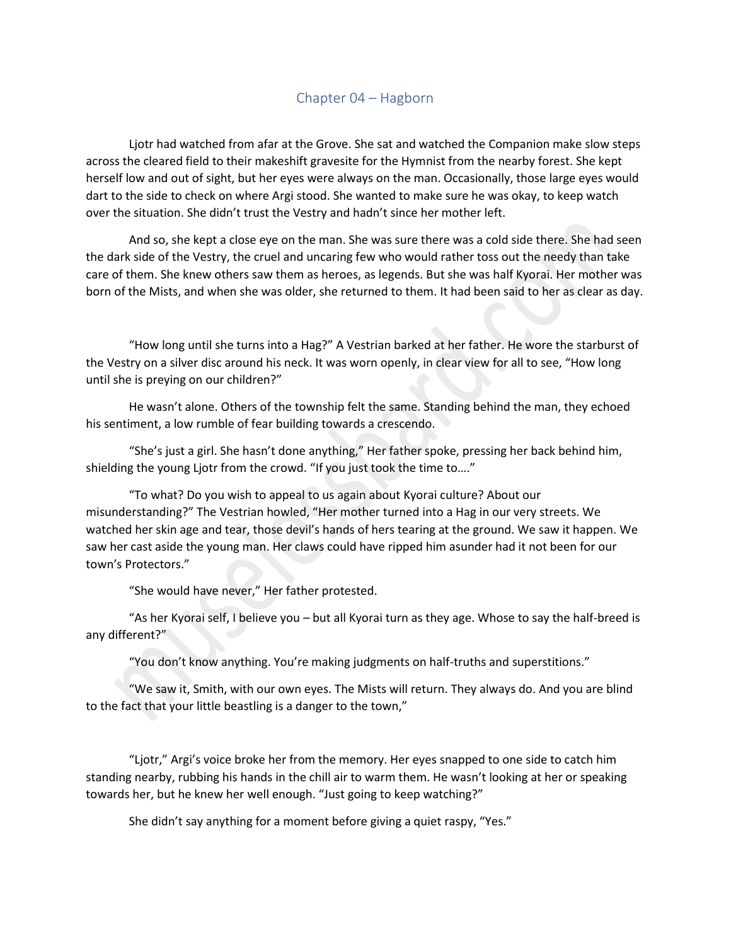## Chapter 04 – Hagborn

Ljotr had watched from afar at the Grove. She sat and watched the Companion make slow steps across the cleared field to their makeshift gravesite for the Hymnist from the nearby forest. She kept herself low and out of sight, but her eyes were always on the man. Occasionally, those large eyes would dart to the side to check on where Argi stood. She wanted to make sure he was okay, to keep watch over the situation. She didn't trust the Vestry and hadn't since her mother left.

And so, she kept a close eye on the man. She was sure there was a cold side there. She had seen the dark side of the Vestry, the cruel and uncaring few who would rather toss out the needy than take care of them. She knew others saw them as heroes, as legends. But she was half Kyorai. Her mother was born of the Mists, and when she was older, she returned to them. It had been said to her as clear as day.

"How long until she turns into a Hag?" A Vestrian barked at her father. He wore the starburst of the Vestry on a silver disc around his neck. It was worn openly, in clear view for all to see, "How long until she is preying on our children?"

He wasn't alone. Others of the township felt the same. Standing behind the man, they echoed his sentiment, a low rumble of fear building towards a crescendo.

"She's just a girl. She hasn't done anything," Her father spoke, pressing her back behind him, shielding the young Ljotr from the crowd. "If you just took the time to…."

"To what? Do you wish to appeal to us again about Kyorai culture? About our misunderstanding?" The Vestrian howled, "Her mother turned into a Hag in our very streets. We watched her skin age and tear, those devil's hands of hers tearing at the ground. We saw it happen. We saw her cast aside the young man. Her claws could have ripped him asunder had it not been for our town's Protectors."

"She would have never," Her father protested.

"As her Kyorai self, I believe you – but all Kyorai turn as they age. Whose to say the half-breed is any different?"

"You don't know anything. You're making judgments on half-truths and superstitions."

"We saw it, Smith, with our own eyes. The Mists will return. They always do. And you are blind to the fact that your little beastling is a danger to the town,"

"Ljotr," Argi's voice broke her from the memory. Her eyes snapped to one side to catch him standing nearby, rubbing his hands in the chill air to warm them. He wasn't looking at her or speaking towards her, but he knew her well enough. "Just going to keep watching?"

She didn't say anything for a moment before giving a quiet raspy, "Yes."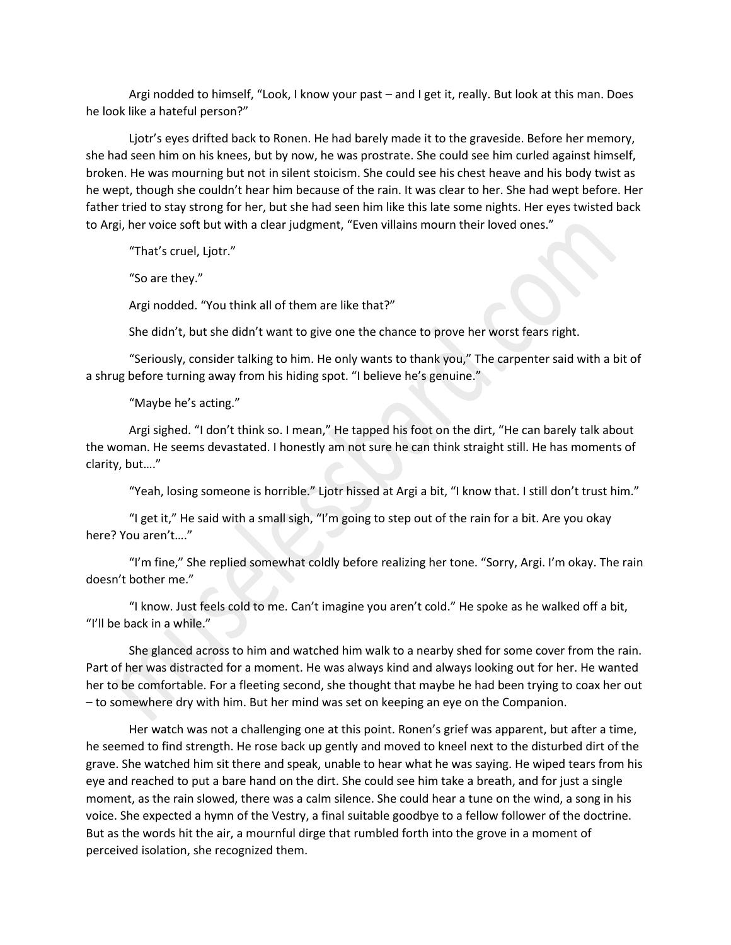Argi nodded to himself, "Look, I know your past – and I get it, really. But look at this man. Does he look like a hateful person?"

Ljotr's eyes drifted back to Ronen. He had barely made it to the graveside. Before her memory, she had seen him on his knees, but by now, he was prostrate. She could see him curled against himself, broken. He was mourning but not in silent stoicism. She could see his chest heave and his body twist as he wept, though she couldn't hear him because of the rain. It was clear to her. She had wept before. Her father tried to stay strong for her, but she had seen him like this late some nights. Her eyes twisted back to Argi, her voice soft but with a clear judgment, "Even villains mourn their loved ones."

"That's cruel, Ljotr."

"So are they."

Argi nodded. "You think all of them are like that?"

She didn't, but she didn't want to give one the chance to prove her worst fears right.

"Seriously, consider talking to him. He only wants to thank you," The carpenter said with a bit of a shrug before turning away from his hiding spot. "I believe he's genuine."

"Maybe he's acting."

Argi sighed. "I don't think so. I mean," He tapped his foot on the dirt, "He can barely talk about the woman. He seems devastated. I honestly am not sure he can think straight still. He has moments of clarity, but…."

"Yeah, losing someone is horrible." Ljotr hissed at Argi a bit, "I know that. I still don't trust him."

"I get it," He said with a small sigh, "I'm going to step out of the rain for a bit. Are you okay here? You aren't…."

"I'm fine," She replied somewhat coldly before realizing her tone. "Sorry, Argi. I'm okay. The rain doesn't bother me."

"I know. Just feels cold to me. Can't imagine you aren't cold." He spoke as he walked off a bit, "I'll be back in a while."

She glanced across to him and watched him walk to a nearby shed for some cover from the rain. Part of her was distracted for a moment. He was always kind and always looking out for her. He wanted her to be comfortable. For a fleeting second, she thought that maybe he had been trying to coax her out – to somewhere dry with him. But her mind was set on keeping an eye on the Companion.

Her watch was not a challenging one at this point. Ronen's grief was apparent, but after a time, he seemed to find strength. He rose back up gently and moved to kneel next to the disturbed dirt of the grave. She watched him sit there and speak, unable to hear what he was saying. He wiped tears from his eye and reached to put a bare hand on the dirt. She could see him take a breath, and for just a single moment, as the rain slowed, there was a calm silence. She could hear a tune on the wind, a song in his voice. She expected a hymn of the Vestry, a final suitable goodbye to a fellow follower of the doctrine. But as the words hit the air, a mournful dirge that rumbled forth into the grove in a moment of perceived isolation, she recognized them.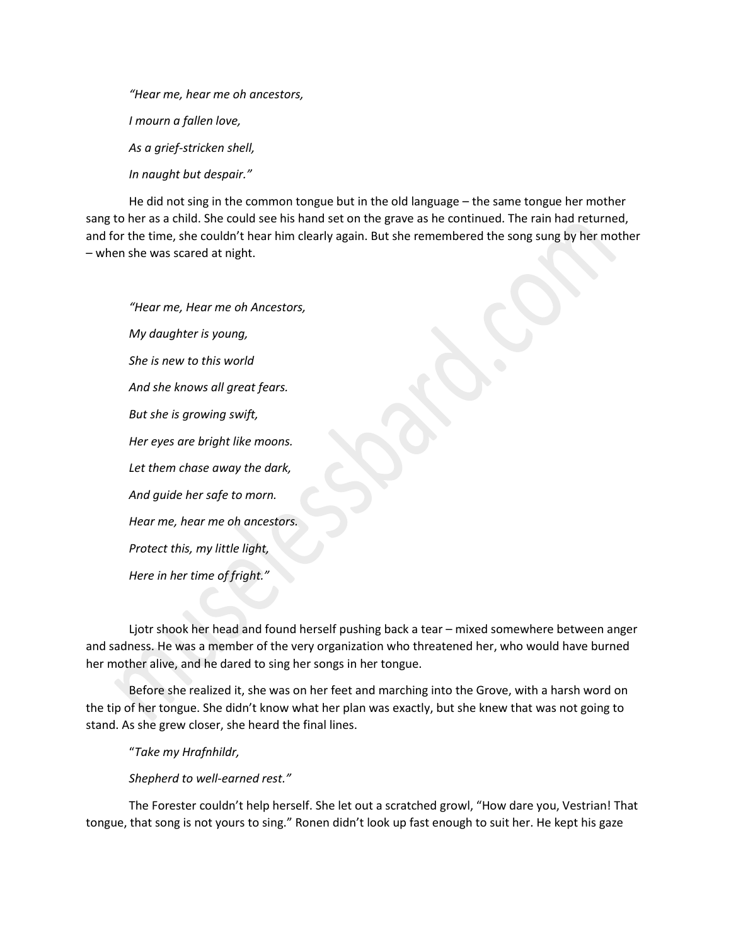*"Hear me, hear me oh ancestors, I mourn a fallen love, As a grief-stricken shell, In naught but despair."*

He did not sing in the common tongue but in the old language – the same tongue her mother sang to her as a child. She could see his hand set on the grave as he continued. The rain had returned, and for the time, she couldn't hear him clearly again. But she remembered the song sung by her mother – when she was scared at night.

*"Hear me, Hear me oh Ancestors, My daughter is young, She is new to this world And she knows all great fears. But she is growing swift, Her eyes are bright like moons. Let them chase away the dark, And guide her safe to morn. Hear me, hear me oh ancestors. Protect this, my little light, Here in her time of fright."*

Ljotr shook her head and found herself pushing back a tear – mixed somewhere between anger and sadness. He was a member of the very organization who threatened her, who would have burned her mother alive, and he dared to sing her songs in her tongue.

Before she realized it, she was on her feet and marching into the Grove, with a harsh word on the tip of her tongue. She didn't know what her plan was exactly, but she knew that was not going to stand. As she grew closer, she heard the final lines.

"*Take my Hrafnhildr,*

*Shepherd to well-earned rest."*

The Forester couldn't help herself. She let out a scratched growl, "How dare you, Vestrian! That tongue, that song is not yours to sing." Ronen didn't look up fast enough to suit her. He kept his gaze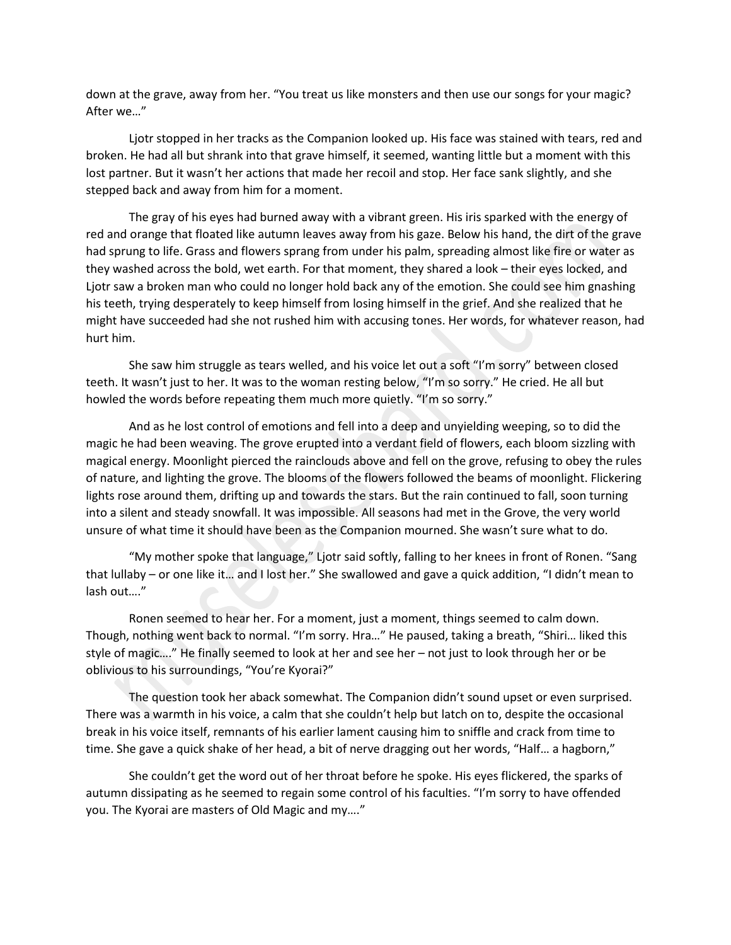down at the grave, away from her. "You treat us like monsters and then use our songs for your magic? After we…"

Ljotr stopped in her tracks as the Companion looked up. His face was stained with tears, red and broken. He had all but shrank into that grave himself, it seemed, wanting little but a moment with this lost partner. But it wasn't her actions that made her recoil and stop. Her face sank slightly, and she stepped back and away from him for a moment.

The gray of his eyes had burned away with a vibrant green. His iris sparked with the energy of red and orange that floated like autumn leaves away from his gaze. Below his hand, the dirt of the grave had sprung to life. Grass and flowers sprang from under his palm, spreading almost like fire or water as they washed across the bold, wet earth. For that moment, they shared a look – their eyes locked, and Ljotr saw a broken man who could no longer hold back any of the emotion. She could see him gnashing his teeth, trying desperately to keep himself from losing himself in the grief. And she realized that he might have succeeded had she not rushed him with accusing tones. Her words, for whatever reason, had hurt him.

She saw him struggle as tears welled, and his voice let out a soft "I'm sorry" between closed teeth. It wasn't just to her. It was to the woman resting below, "I'm so sorry." He cried. He all but howled the words before repeating them much more quietly. "I'm so sorry."

And as he lost control of emotions and fell into a deep and unyielding weeping, so to did the magic he had been weaving. The grove erupted into a verdant field of flowers, each bloom sizzling with magical energy. Moonlight pierced the rainclouds above and fell on the grove, refusing to obey the rules of nature, and lighting the grove. The blooms of the flowers followed the beams of moonlight. Flickering lights rose around them, drifting up and towards the stars. But the rain continued to fall, soon turning into a silent and steady snowfall. It was impossible. All seasons had met in the Grove, the very world unsure of what time it should have been as the Companion mourned. She wasn't sure what to do.

"My mother spoke that language," Ljotr said softly, falling to her knees in front of Ronen. "Sang that lullaby – or one like it… and I lost her." She swallowed and gave a quick addition, "I didn't mean to lash out…."

Ronen seemed to hear her. For a moment, just a moment, things seemed to calm down. Though, nothing went back to normal. "I'm sorry. Hra…" He paused, taking a breath, "Shiri… liked this style of magic…." He finally seemed to look at her and see her – not just to look through her or be oblivious to his surroundings, "You're Kyorai?"

The question took her aback somewhat. The Companion didn't sound upset or even surprised. There was a warmth in his voice, a calm that she couldn't help but latch on to, despite the occasional break in his voice itself, remnants of his earlier lament causing him to sniffle and crack from time to time. She gave a quick shake of her head, a bit of nerve dragging out her words, "Half… a hagborn,"

She couldn't get the word out of her throat before he spoke. His eyes flickered, the sparks of autumn dissipating as he seemed to regain some control of his faculties. "I'm sorry to have offended you. The Kyorai are masters of Old Magic and my…."